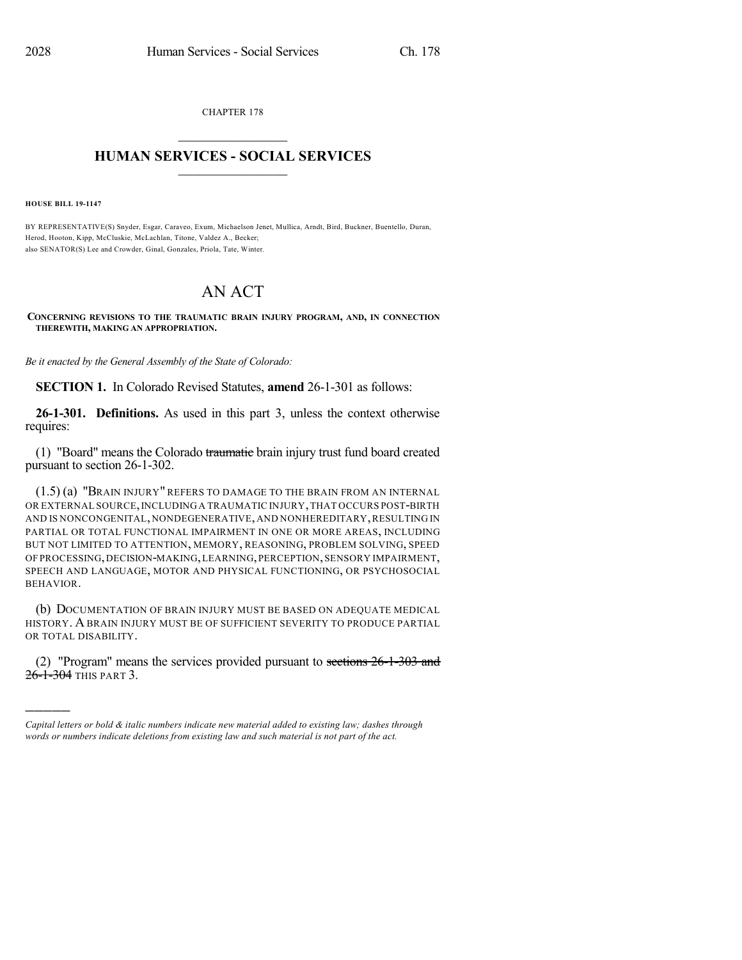CHAPTER 178  $\overline{\phantom{a}}$  . The set of the set of the set of the set of the set of the set of the set of the set of the set of the set of the set of the set of the set of the set of the set of the set of the set of the set of the set o

## **HUMAN SERVICES - SOCIAL SERVICES**  $\frac{1}{2}$  ,  $\frac{1}{2}$  ,  $\frac{1}{2}$  ,  $\frac{1}{2}$  ,  $\frac{1}{2}$  ,  $\frac{1}{2}$  ,  $\frac{1}{2}$

**HOUSE BILL 19-1147**

)))))

BY REPRESENTATIVE(S) Snyder, Esgar, Caraveo, Exum, Michaelson Jenet, Mullica, Arndt, Bird, Buckner, Buentello, Duran, Herod, Hooton, Kipp, McCluskie, McLachlan, Titone, Valdez A., Becker; also SENATOR(S) Lee and Crowder, Ginal, Gonzales, Priola, Tate, Winter.

## AN ACT

**CONCERNING REVISIONS TO THE TRAUMATIC BRAIN INJURY PROGRAM, AND, IN CONNECTION THEREWITH, MAKING AN APPROPRIATION.**

*Be it enacted by the General Assembly of the State of Colorado:*

**SECTION 1.** In Colorado Revised Statutes, **amend** 26-1-301 as follows:

**26-1-301. Definitions.** As used in this part 3, unless the context otherwise requires:

(1) "Board" means the Colorado traumatie brain injury trust fund board created pursuant to section 26-1-302.

(1.5) (a) "BRAIN INJURY" REFERS TO DAMAGE TO THE BRAIN FROM AN INTERNAL OR EXTERNAL SOURCE,INCLUDING A TRAUMATIC INJURY,THAT OCCURS POST-BIRTH AND IS NONCONGENITAL, NONDEGENERATIVE, AND NONHEREDITARY, RESULTING IN PARTIAL OR TOTAL FUNCTIONAL IMPAIRMENT IN ONE OR MORE AREAS, INCLUDING BUT NOT LIMITED TO ATTENTION, MEMORY, REASONING, PROBLEM SOLVING, SPEED OF PROCESSING,DECISION-MAKING,LEARNING,PERCEPTION,SENSORY IMPAIRMENT, SPEECH AND LANGUAGE, MOTOR AND PHYSICAL FUNCTIONING, OR PSYCHOSOCIAL BEHAVIOR.

(b) DOCUMENTATION OF BRAIN INJURY MUST BE BASED ON ADEQUATE MEDICAL HISTORY. A BRAIN INJURY MUST BE OF SUFFICIENT SEVERITY TO PRODUCE PARTIAL OR TOTAL DISABILITY.

(2) "Program" means the services provided pursuant to sections 26-1-303 and 26-1-304 THIS PART 3.

*Capital letters or bold & italic numbers indicate new material added to existing law; dashes through words or numbers indicate deletions from existing law and such material is not part of the act.*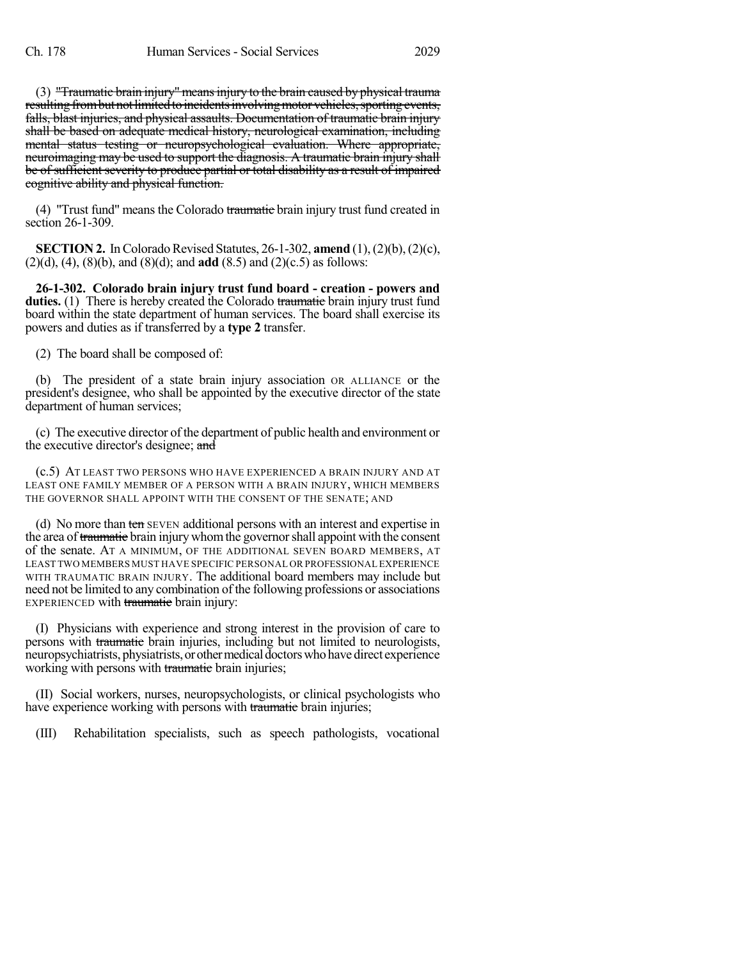(3) "Traumatic brain injury" means injury to the brain caused by physical trauma resulting from but not limited to incidents involving motor vehicles, sporting events, falls, blast injuries, and physical assaults. Documentation of traumatic brain injury shall be based on adequate medical history, neurological examination, including mental status testing or neuropsychological evaluation. Where appropriate, neuroimaging may be used to support the diagnosis. A traumatic brain injury shall be of sufficient severity to produce partial or total disability as a result of impaired cognitive ability and physical function.

(4) "Trust fund" means the Colorado traumatic brain injury trust fund created in section 26-1-309.

**SECTION 2.** In Colorado Revised Statutes, 26-1-302, **amend** (1), (2)(b), (2)(c), (2)(d), (4), (8)(b), and (8)(d); and **add** (8.5) and (2)(c.5) as follows:

**26-1-302. Colorado brain injury trust fund board - creation - powers and duties.** (1) There is hereby created the Colorado traumatic brain injury trust fund board within the state department of human services. The board shall exercise its powers and duties as if transferred by a **type 2** transfer.

(2) The board shall be composed of:

(b) The president of a state brain injury association OR ALLIANCE or the president's designee, who shall be appointed by the executive director of the state department of human services;

(c) The executive director of the department of public health and environment or the executive director's designee; and

(c.5) AT LEAST TWO PERSONS WHO HAVE EXPERIENCED A BRAIN INJURY AND AT LEAST ONE FAMILY MEMBER OF A PERSON WITH A BRAIN INJURY, WHICH MEMBERS THE GOVERNOR SHALL APPOINT WITH THE CONSENT OF THE SENATE; AND

(d) No more than ten SEVEN additional persons with an interest and expertise in the area of traumatic brain injury whom the governor shall appoint with the consent of the senate. AT A MINIMUM, OF THE ADDITIONAL SEVEN BOARD MEMBERS, AT LEAST TWO MEMBERS MUST HAVE SPECIFIC PERSONAL OR PROFESSIONAL EXPERIENCE WITH TRAUMATIC BRAIN INJURY. The additional board members may include but need not be limited to any combination of the following professions or associations EXPERIENCED with traumatic brain injury:

(I) Physicians with experience and strong interest in the provision of care to persons with traumatic brain injuries, including but not limited to neurologists, neuropsychiatrists, physiatrists, or other medical doctors who have direct experience working with persons with traumatic brain injuries;

(II) Social workers, nurses, neuropsychologists, or clinical psychologists who have experience working with persons with traumatic brain injuries;

(III) Rehabilitation specialists, such as speech pathologists, vocational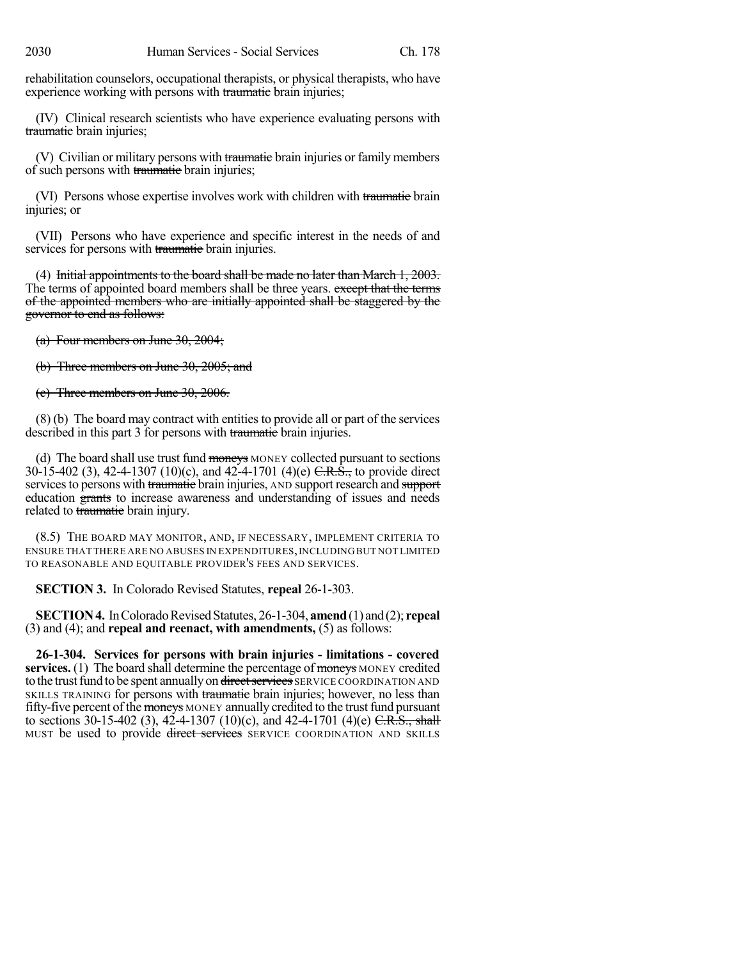rehabilitation counselors, occupational therapists, or physical therapists, who have experience working with persons with traumatic brain injuries;

(IV) Clinical research scientists who have experience evaluating persons with traumatic brain injuries;

(V) Civilian or military persons with traumatic brain injuries or family members of such persons with traumatic brain injuries;

(VI) Persons whose expertise involves work with children with traumatic brain injuries; or

(VII) Persons who have experience and specific interest in the needs of and services for persons with traumatic brain injuries.

(4) Initial appointments to the board shall be made no later than March 1, 2003. The terms of appointed board members shall be three years. except that the terms of the appointed members who are initially appointed shall be staggered by the governor to end as follows:

(a) Four members on June 30, 2004;

(b) Three members on June 30, 2005; and

(c) Three members on June 30, 2006.

(8) (b) The board may contract with entities to provide all or part of the services described in this part 3 for persons with traumatic brain injuries.

(d) The board shall use trust fund moneys MONEY collected pursuant to sections 30-15-402 (3), 42-4-1307 (10)(c), and 42-4-1701 (4)(e)  $C.R.\hat{S}$ , to provide direct services to persons with traumatic brain injuries, AND support research and support education grants to increase awareness and understanding of issues and needs related to traumatic brain injury.

(8.5) THE BOARD MAY MONITOR, AND, IF NECESSARY, IMPLEMENT CRITERIA TO ENSURE THAT THERE ARE NO ABUSES IN EXPENDITURES,INCLUDING BUT NOT LIMITED TO REASONABLE AND EQUITABLE PROVIDER'S FEES AND SERVICES.

**SECTION 3.** In Colorado Revised Statutes, **repeal** 26-1-303.

**SECTION 4.** In Colorado Revised Statutes, 26-1-304, **amend** (1) and (2); **repeal** (3) and (4); and **repeal and reenact, with amendments,** (5) as follows:

**26-1-304. Services for persons with brain injuries - limitations - covered services.** (1) The board shall determine the percentage of moneys MONEY credited to the trust fund to be spent annually on direct services SERVICE COORDINATION AND SKILLS TRAINING for persons with traumatic brain injuries; however, no less than fifty-five percent of the moneys MONEY annually credited to the trust fund pursuant to sections 30-15-402 (3), 42-4-1307 (10)(c), and 42-4-1701 (4)(e) C.R.S., shall MUST be used to provide direct services SERVICE COORDINATION AND SKILLS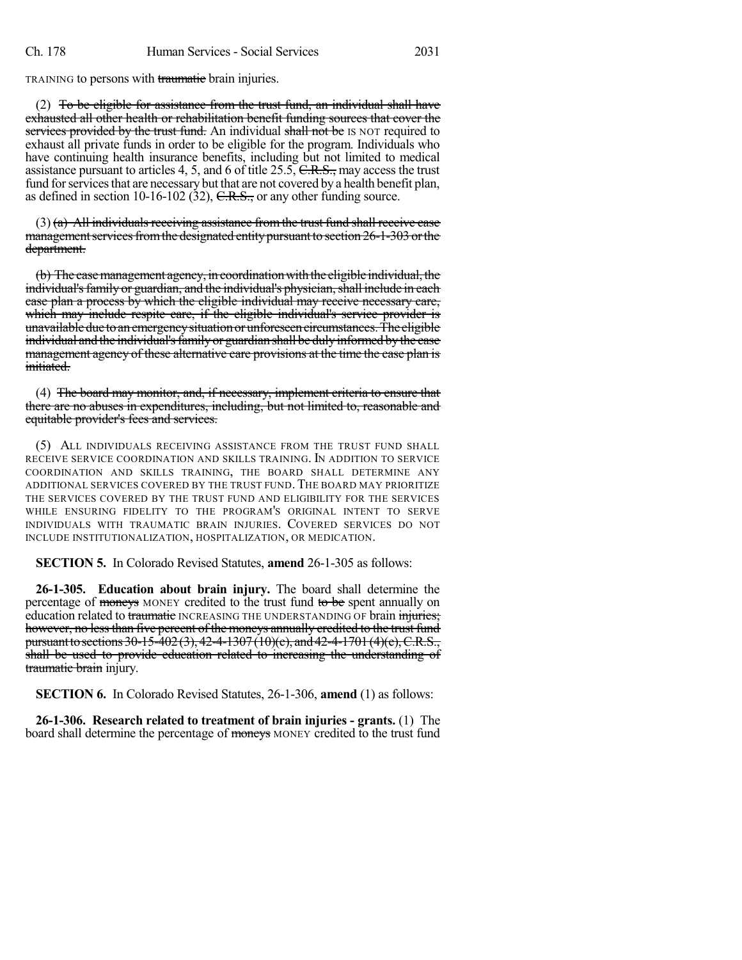TRAINING to persons with traumatic brain injuries.

(2) To be eligible for assistance from the trust fund, an individual shall have exhausted all other health or rehabilitation benefit funding sources that cover the services provided by the trust fund. An individual shall not be IS NOT required to exhaust all private funds in order to be eligible for the program. Individuals who have continuing health insurance benefits, including but not limited to medical assistance pursuant to articles 4, 5, and 6 of title  $25.5$ ,  $C.R.S.,$  may access the trust fund for services that are necessary but that are not covered by a health benefit plan, as defined in section 10-16-102 (32),  $C.R.S.,$  or any other funding source.

 $(3)$  (a) All individuals receiving assistance from the trust fund shall receive case management services from the designated entity pursuant to section 26-1-303 or the department.

(b) The case management agency, in coordination with the eligible individual, the individual's family or guardian, and the individual's physician, shall include in each case plan a process by which the eligible individual may receive necessary care, which may include respite care, if the eligible individual's service provider is unavailable due to an emergency situation or unforeseen circumstances. The eligible individual and the individual's family or guardian shall be duly informed by the case management agency of these alternative care provisions at the time the case plan is initiated.

(4) The board may monitor, and, if necessary, implement criteria to ensure that there are no abuses in expenditures, including, but not limited to, reasonable and equitable provider's fees and services.

(5) ALL INDIVIDUALS RECEIVING ASSISTANCE FROM THE TRUST FUND SHALL RECEIVE SERVICE COORDINATION AND SKILLS TRAINING. IN ADDITION TO SERVICE COORDINATION AND SKILLS TRAINING, THE BOARD SHALL DETERMINE ANY ADDITIONAL SERVICES COVERED BY THE TRUST FUND. THE BOARD MAY PRIORITIZE THE SERVICES COVERED BY THE TRUST FUND AND ELIGIBILITY FOR THE SERVICES WHILE ENSURING FIDELITY TO THE PROGRAM'S ORIGINAL INTENT TO SERVE INDIVIDUALS WITH TRAUMATIC BRAIN INJURIES. COVERED SERVICES DO NOT INCLUDE INSTITUTIONALIZATION, HOSPITALIZATION, OR MEDICATION.

**SECTION 5.** In Colorado Revised Statutes, **amend** 26-1-305 as follows:

**26-1-305. Education about brain injury.** The board shall determine the percentage of moneys MONEY credited to the trust fund to be spent annually on education related to traumatic INCREASING THE UNDERSTANDING OF brain injuries; however, no less than five percent of the moneys annually credited to the trust fund pursuant to sections 30-15-402 (3), 42-4-1307 (10)(e), and 42-4-1701 (4)(e), C.R.S., shall be used to provide education related to increasing the understanding of traumatic brain injury.

**SECTION 6.** In Colorado Revised Statutes, 26-1-306, **amend** (1) as follows:

**26-1-306. Research related to treatment of brain injuries - grants.** (1) The board shall determine the percentage of moneys MONEY credited to the trust fund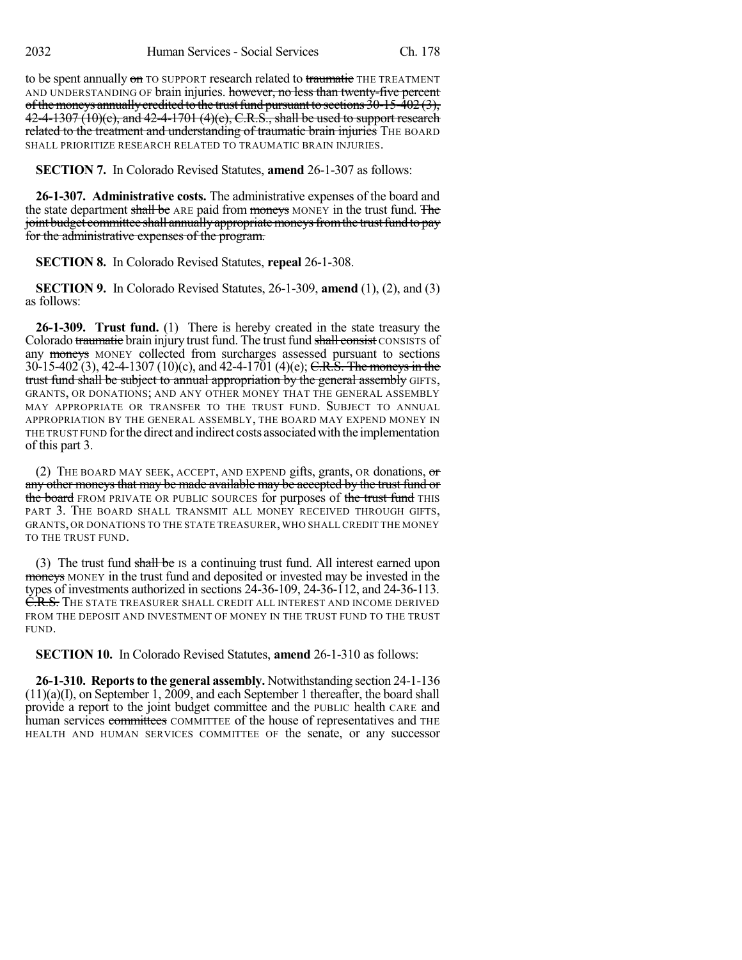to be spent annually on TO SUPPORT research related to traumatic THE TREATMENT AND UNDERSTANDING OF brain injuries. however, no less than twenty-five percent of the moneys annually credited to the trust fund pursuant to sections  $30-15-402(3)$ , 42-4-1307 (10)(e), and 42-4-1701 (4)(e), C.R.S., shall be used to support research related to the treatment and understanding of traumatic brain injuries THE BOARD SHALL PRIORITIZE RESEARCH RELATED TO TRAUMATIC BRAIN INJURIES.

**SECTION 7.** In Colorado Revised Statutes, **amend** 26-1-307 as follows:

**26-1-307. Administrative costs.** The administrative expenses of the board and the state department shall be ARE paid from moneys MONEY in the trust fund. The joint budget committee shall annually appropriate moneys from the trust fund to pay for the administrative expenses of the program.

**SECTION 8.** In Colorado Revised Statutes, **repeal** 26-1-308.

**SECTION 9.** In Colorado Revised Statutes, 26-1-309, **amend** (1), (2), and (3) as follows:

**26-1-309. Trust fund.** (1) There is hereby created in the state treasury the Colorado traumatic brain injury trust fund. The trust fund shall consist CONSISTS of any **moneys** MONEY collected from surcharges assessed pursuant to sections 30-15-402 (3), 42-4-1307 (10)(c), and 42-4-1701 (4)(e); C.R.S. The moneys in the trust fund shall be subject to annual appropriation by the general assembly GIFTS, GRANTS, OR DONATIONS; AND ANY OTHER MONEY THAT THE GENERAL ASSEMBLY MAY APPROPRIATE OR TRANSFER TO THE TRUST FUND. SUBJECT TO ANNUAL APPROPRIATION BY THE GENERAL ASSEMBLY, THE BOARD MAY EXPEND MONEY IN THE TRUST FUND forthe direct and indirect costs associatedwith the implementation of this part 3.

(2) THE BOARD MAY SEEK, ACCEPT, AND EXPEND gifts, grants, OR donations,  $\sigma$ any other moneys that may be made available may be accepted by the trust fund or the board FROM PRIVATE OR PUBLIC SOURCES for purposes of the trust fund THIS PART 3. THE BOARD SHALL TRANSMIT ALL MONEY RECEIVED THROUGH GIFTS, GRANTS, OR DONATIONS TO THE STATE TREASURER, WHO SHALL CREDIT THE MONEY TO THE TRUST FUND.

(3) The trust fund shall be IS a continuing trust fund. All interest earned upon moneys MONEY in the trust fund and deposited or invested may be invested in the types of investments authorized in sections 24-36-109, 24-36-112, and 24-36-113. C.R.S. THE STATE TREASURER SHALL CREDIT ALL INTEREST AND INCOME DERIVED FROM THE DEPOSIT AND INVESTMENT OF MONEY IN THE TRUST FUND TO THE TRUST FUND.

**SECTION 10.** In Colorado Revised Statutes, **amend** 26-1-310 as follows:

**26-1-310. Reports to the general assembly.** Notwithstanding section 24-1-136 (11)(a)(I), on September 1, 2009, and each September 1 thereafter, the board shall provide a report to the joint budget committee and the PUBLIC health CARE and human services committees COMMITTEE of the house of representatives and THE HEALTH AND HUMAN SERVICES COMMITTEE OF the senate, or any successor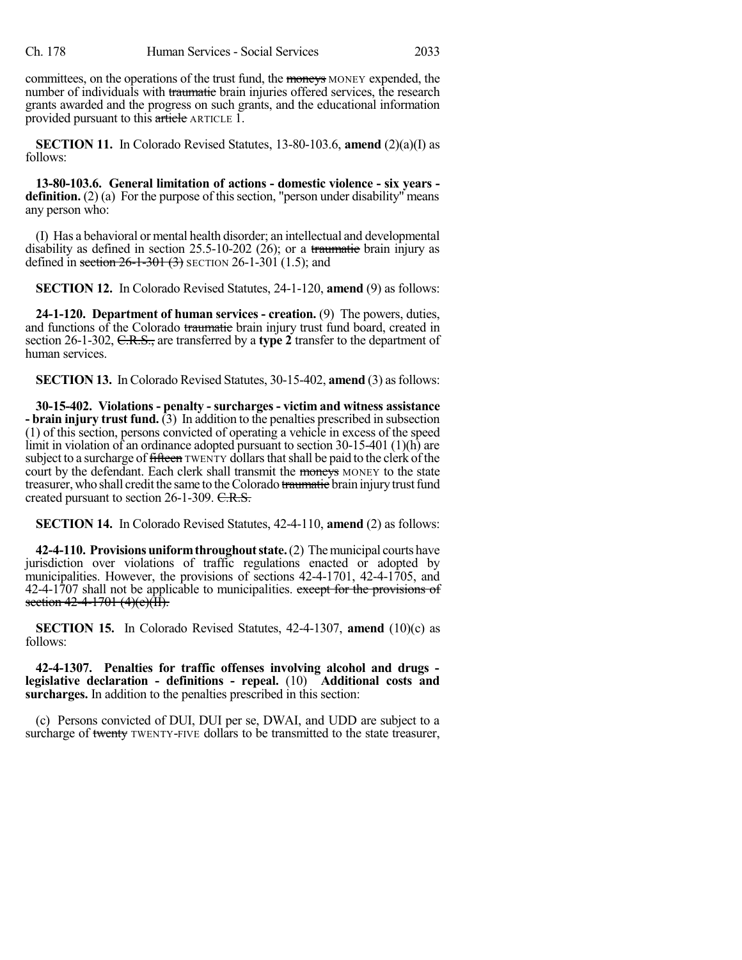committees, on the operations of the trust fund, the moneys MONEY expended, the number of individuals with traumatic brain injuries offered services, the research grants awarded and the progress on such grants, and the educational information provided pursuant to this article ARTICLE 1.

**SECTION 11.** In Colorado Revised Statutes, 13-80-103.6, **amend** (2)(a)(I) as follows:

**13-80-103.6. General limitation of actions - domestic violence - six years definition.** (2) (a) For the purpose of this section, "person under disability" means any person who:

(I) Has a behavioral or mental health disorder; an intellectual and developmental disability as defined in section  $25.5$ -10-202 (26); or a traumatic brain injury as defined in section  $26-1-301$  (3) SECTION 26-1-301 (1.5); and

**SECTION 12.** In Colorado Revised Statutes, 24-1-120, **amend** (9) as follows:

**24-1-120. Department of human services - creation.** (9) The powers, duties, and functions of the Colorado traumatic brain injury trust fund board, created in section 26-1-302, C.R.S., are transferred by a **type 2** transfer to the department of human services.

**SECTION 13.** In Colorado Revised Statutes, 30-15-402, **amend** (3) as follows:

**30-15-402. Violations - penalty - surcharges - victim and witness assistance - brain injury trust fund.** (3) In addition to the penalties prescribed in subsection (1) of this section, persons convicted of operating a vehicle in excess of the speed limit in violation of an ordinance adopted pursuant to section 30-15-401 (1)(h) are subject to a surcharge of fifteen TWENTY dollars that shall be paid to the clerk of the court by the defendant. Each clerk shall transmit the moneys MONEY to the state treasurer, who shall credit the same to the Colorado traumatic brain injury trust fund created pursuant to section 26-1-309. C.R.S.

**SECTION 14.** In Colorado Revised Statutes, 42-4-110, **amend** (2) as follows:

**42-4-110. Provisionsuniformthroughoutstate.**(2) Themunicipal courts have jurisdiction over violations of traffic regulations enacted or adopted by municipalities. However, the provisions of sections 42-4-1701, 42-4-1705, and 42-4-1707 shall not be applicable to municipalities. except for the provisions of section  $42 - 4 - 1701$   $(4)(e)$   $(\overline{11})$ .

**SECTION 15.** In Colorado Revised Statutes, 42-4-1307, **amend** (10)(c) as follows:

**42-4-1307. Penalties for traffic offenses involving alcohol and drugs legislative declaration - definitions - repeal.** (10) **Additional costs and surcharges.** In addition to the penalties prescribed in this section:

(c) Persons convicted of DUI, DUI per se, DWAI, and UDD are subject to a surcharge of twenty TWENTY-FIVE dollars to be transmitted to the state treasurer,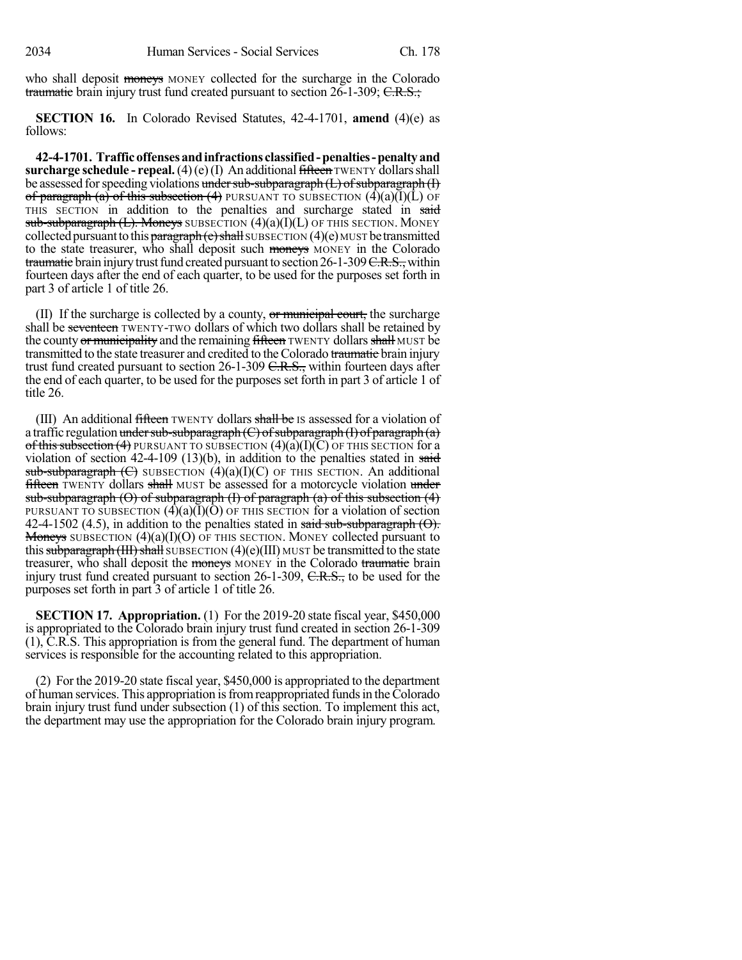who shall deposit moneys MONEY collected for the surcharge in the Colorado traumatic brain injury trust fund created pursuant to section  $26$ -1-309; C.R.S.;

**SECTION 16.** In Colorado Revised Statutes, 42-4-1701, **amend** (4)(e) as follows:

**42-4-1701. Trafficoffensesandinfractions classified-penalties-penaltyand surcharge schedule - repeal.** (4)(e)(I) An additional fifteen TWENTY dollars shall be assessed for speeding violations under sub-subparagraph  $(L)$  of subparagraph  $(I)$ of paragraph (a) of this subsection (4) PURSUANT TO SUBSECTION  $(\tilde{4})(a)(\tilde{I})(\tilde{L})$  OF THIS SECTION in addition to the penalties and surcharge stated in said sub-subparagraph  $(L)$ . Moneys SUBSECTION  $(4)(a)(I)(L)$  OF THIS SECTION. MONEY collected pursuant to this paragraph  $(e)$  shall SUBSECTION  $(4)(e)$  MUST be transmitted to the state treasurer, who shall deposit such moneys MONEY in the Colorado traumatic brain injury trust fund created pursuant to section  $26$ -1-309 C.R.S., within fourteen days after the end of each quarter, to be used for the purposes set forth in part 3 of article 1 of title 26.

(II) If the surcharge is collected by a county,  $\sigma r$  municipal court, the surcharge shall be seventeen TWENTY-TWO dollars of which two dollars shall be retained by the county or municipality and the remaining fifteen TWENTY dollars shall MUST be transmitted to the state treasurer and credited to the Colorado traumatic brain injury trust fund created pursuant to section 26-1-309 C.R.S., within fourteen days after the end of each quarter, to be used for the purposes set forth in part 3 of article 1 of title 26.

(III) An additional fifteen TWENTY dollars shall be IS assessed for a violation of a traffic regulation under sub-subparagraph  $(C)$  of subparagraph  $(I)$  of paragraph  $(a)$ of this subsection (4) PURSUANT TO SUBSECTION  $(4)(a)(I)(C)$  OF THIS SECTION for a violation of section  $42-4-109$  (13)(b), in addition to the penalties stated in said sub-subparagraph  $(\text{C})$  SUBSECTION  $(4)(a)(I)(C)$  OF THIS SECTION. An additional **fifteen** TWENTY dollars shall MUST be assessed for a motorcycle violation under sub-subparagraph  $\Theta$ ) of subparagraph  $\Theta$  of paragraph  $\Theta$  of this subsection  $\Theta$ PURSUANT TO SUBSECTION  $(4)(a)(I)(O)$  OF THIS SECTION for a violation of section 42-4-1502 (4.5), in addition to the penalties stated in said sub-subparagraph  $(\Theta)$ . **Moneys** SUBSECTION  $(4)(a)(I)(O)$  OF THIS SECTION. MONEY collected pursuant to this subparagraph (III) shall SUBSECTION  $(4)(e)$ (III) MUST be transmitted to the state treasurer, who shall deposit the moneys MONEY in the Colorado traumatic brain injury trust fund created pursuant to section 26-1-309, C.R.S., to be used for the purposes set forth in part 3 of article 1 of title 26.

**SECTION 17. Appropriation.** (1) For the 2019-20 state fiscal year, \$450,000 is appropriated to the Colorado brain injury trust fund created in section 26-1-309 (1), C.R.S. This appropriation is from the general fund. The department of human services is responsible for the accounting related to this appropriation.

(2) For the 2019-20 state fiscal year, \$450,000 is appropriated to the department of human services. This appropriation isfromreappropriated fundsin theColorado brain injury trust fund under subsection (1) of this section. To implement this act, the department may use the appropriation for the Colorado brain injury program.